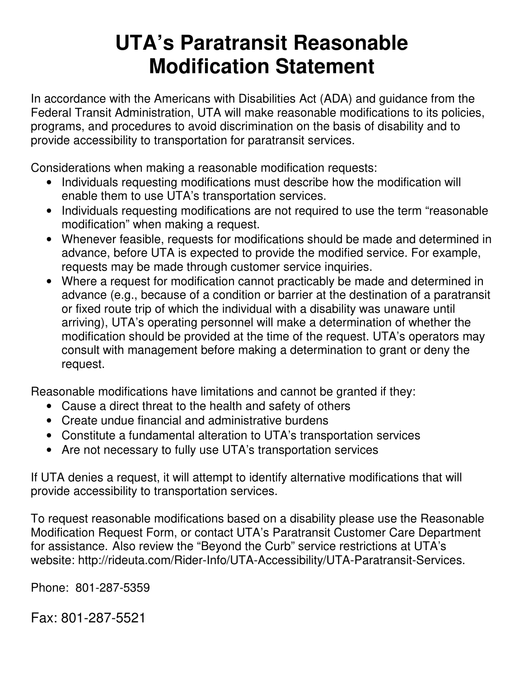## **UTA's Paratransit Reasonable Modification Statement**

In accordance with the Americans with Disabilities Act (ADA) and guidance from the Federal Transit Administration, UTA will make reasonable modifications to its policies, programs, and procedures to avoid discrimination on the basis of disability and to provide accessibility to transportation for paratransit services.

Considerations when making a reasonable modification requests:

- Individuals requesting modifications must describe how the modification will enable them to use UTA's transportation services.
- Individuals requesting modifications are not required to use the term "reasonable" modification" when making a request.
- Whenever feasible, requests for modifications should be made and determined in advance, before UTA is expected to provide the modified service. For example, requests may be made through customer service inquiries.
- Where a request for modification cannot practicably be made and determined in advance (e.g., because of a condition or barrier at the destination of a paratransit or fixed route trip of which the individual with a disability was unaware until arriving), UTA's operating personnel will make a determination of whether the modification should be provided at the time of the request. UTA's operators may consult with management before making a determination to grant or deny the request.

Reasonable modifications have limitations and cannot be granted if they:

- Cause a direct threat to the health and safety of others
- Create undue financial and administrative burdens
- Constitute a fundamental alteration to UTA's transportation services
- Are not necessary to fully use UTA's transportation services

If UTA denies a request, it will attempt to identify alternative modifications that will provide accessibility to transportation services.

To request reasonable modifications based on a disability please use the Reasonable Modification Request Form, or contact UTA's Paratransit Customer Care Department for assistance. Also review the "Beyond the Curb" service restrictions at UTA's website: http://rideuta.com/Rider-Info/UTA-Accessibility/UTA-Paratransit-Services.

Phone: 801-287-5359

Fax: 801-287-5521